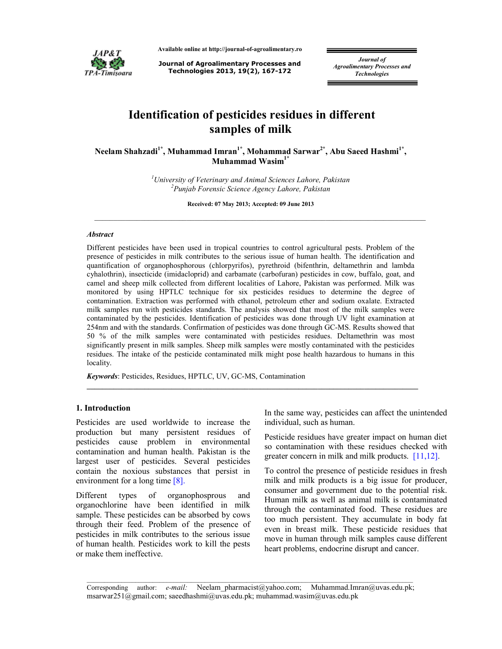

**Available online at http://journal-of-agroalimentary.ro** 

**Journal of Agroalimentary Processes and Technologies 2013, 19(2), 167-172**

*Journal of Agroalimentary Processes and Technologies* 

# **Identification of pesticides residues in different samples of milk**

**Neelam Shahzadi1\*, Muhammad Imran1\*, Mohammad Sarwar2\*, Abu Saeed Hashmi1\* , Muhammad Wasim1\*** 

> *<sup>1</sup>University of Veterinary and Animal Sciences Lahore, Pakistan 2 Punjab Forensic Science Agency Lahore, Pakistan*

> > **Received: 07 May 2013; Accepted: 09 June 2013**

 $\_$  ,  $\_$  ,  $\_$  ,  $\_$  ,  $\_$  ,  $\_$  ,  $\_$  ,  $\_$  ,  $\_$  ,  $\_$  ,  $\_$  ,  $\_$  ,  $\_$  ,  $\_$  ,  $\_$  ,  $\_$  ,  $\_$  ,  $\_$  ,  $\_$  ,  $\_$ 

#### *Abstract*

Different pesticides have been used in tropical countries to control agricultural pests. Problem of the presence of pesticides in milk contributes to the serious issue of human health. The identification and quantification of organophosphorous (chlorpyrifos), pyrethroid (bifenthrin, deltamethrin and lambda cyhalothrin), insecticide (imidacloprid) and carbamate (carbofuran) pesticides in cow, buffalo, goat, and camel and sheep milk collected from different localities of Lahore, Pakistan was performed. Milk was monitored by using HPTLC technique for six pesticides residues to determine the degree of contamination. Extraction was performed with ethanol, petroleum ether and sodium oxalate. Extracted milk samples run with pesticides standards. The analysis showed that most of the milk samples were contaminated by the pesticides. Identification of pesticides was done through UV light examination at 254nm and with the standards. Confirmation of pesticides was done through GC-MS. Results showed that 50 % of the milk samples were contaminated with pesticides residues. Deltamethrin was most significantly present in milk samples. Sheep milk samples were mostly contaminated with the pesticides residues. The intake of the pesticide contaminated milk might pose health hazardous to humans in this locality.

**\_\_\_\_\_\_\_\_\_\_\_\_\_\_\_\_\_\_\_\_\_\_\_\_\_\_\_\_\_\_\_\_\_\_\_\_\_\_\_\_\_\_\_\_\_\_\_\_\_\_\_\_\_\_\_\_\_\_\_\_\_\_\_\_\_\_\_\_\_\_\_\_\_\_\_\_\_\_\_\_\_\_\_\_\_\_** 

*Keywords*: Pesticides, Residues, HPTLC, UV, GC-MS, Contamination

## **1. Introduction**

Pesticides are used worldwide to increase the production but many persistent residues of pesticides cause problem in environmental contamination and human health. Pakistan is the largest user of pesticides. Several pesticides contain the noxious substances that persist in environment for a long time [8].

Different types of organophosprous and organochlorine have been identified in milk sample. These pesticides can be absorbed by cows through their feed. Problem of the presence of pesticides in milk contributes to the serious issue of human health. Pesticides work to kill the pests or make them ineffective.

In the same way, pesticides can affect the unintended individual, such as human.

Pesticide residues have greater impact on human diet so contamination with these residues checked with greater concern in milk and milk products. [11,12].

To control the presence of pesticide residues in fresh milk and milk products is a big issue for producer, consumer and government due to the potential risk. Human milk as well as animal milk is contaminated through the contaminated food. These residues are too much persistent. They accumulate in body fat even in breast milk. These pesticide residues that move in human through milk samples cause different heart problems, endocrine disrupt and cancer.

\_\_\_\_\_\_\_\_\_\_\_\_\_\_\_\_\_\_\_\_\_\_\_\_\_\_\_\_\_\_\_\_\_\_\_\_\_\_\_\_\_\_\_\_\_\_\_\_\_\_\_\_\_\_\_\_\_\_\_\_\_\_\_\_\_\_\_\_\_\_\_\_\_\_\_\_\_\_\_\_\_\_\_\_\_\_\_\_\_\_\_\_\_\_ Corresponding author: *e-mail:* Neelam\_pharmacist@yahoo.com; Muhammad.Imran@uvas.edu.pk; msarwar251@gmail.com; saeedhashmi@uvas.edu.pk; muhammad.wasim@uvas.edu.pk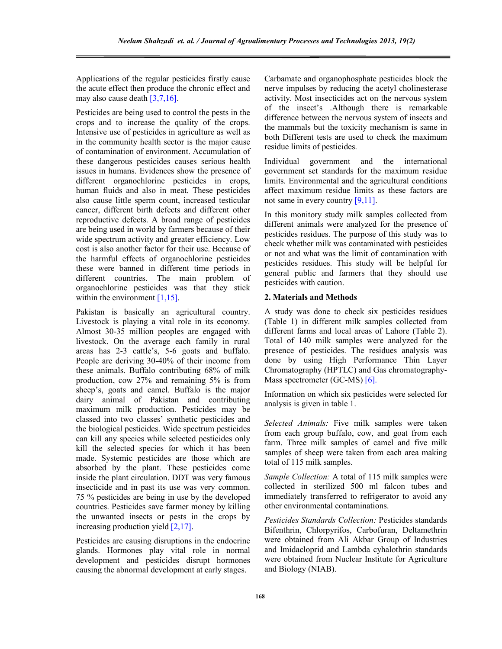Applications of the regular pesticides firstly cause the acute effect then produce the chronic effect and may also cause death [3,7,16].

Pesticides are being used to control the pests in the crops and to increase the quality of the crops. Intensive use of pesticides in agriculture as well as in the community health sector is the major cause of contamination of environment. Accumulation of these dangerous pesticides causes serious health issues in humans. Evidences show the presence of different organochlorine pesticides in crops, human fluids and also in meat. These pesticides also cause little sperm count, increased testicular cancer, different birth defects and different other reproductive defects. A broad range of pesticides are being used in world by farmers because of their wide spectrum activity and greater efficiency. Low cost is also another factor for their use. Because of the harmful effects of organochlorine pesticides these were banned in different time periods in different countries. The main problem of organochlorine pesticides was that they stick within the environment [1,15].

Pakistan is basically an agricultural country. Livestock is playing a vital role in its economy. Almost 30-35 million peoples are engaged with livestock. On the average each family in rural areas has 2-3 cattle's, 5-6 goats and buffalo. People are deriving 30-40% of their income from these animals. Buffalo contributing 68% of milk production, cow 27% and remaining 5% is from sheep's, goats and camel. Buffalo is the major dairy animal of Pakistan and contributing maximum milk production. Pesticides may be classed into two classes' synthetic pesticides and the biological pesticides. Wide spectrum pesticides can kill any species while selected pesticides only kill the selected species for which it has been made. Systemic pesticides are those which are absorbed by the plant. These pesticides come inside the plant circulation. DDT was very famous insecticide and in past its use was very common. 75 % pesticides are being in use by the developed countries. Pesticides save farmer money by killing the unwanted insects or pests in the crops by increasing production yield [2,17].

Pesticides are causing disruptions in the endocrine glands. Hormones play vital role in normal development and pesticides disrupt hormones causing the abnormal development at early stages.

Carbamate and organophosphate pesticides block the nerve impulses by reducing the acetyl cholinesterase activity. Most insecticides act on the nervous system of the insect's .Although there is remarkable difference between the nervous system of insects and the mammals but the toxicity mechanism is same in both Different tests are used to check the maximum residue limits of pesticides.

Individual government and the international government set standards for the maximum residue limits. Environmental and the agricultural conditions affect maximum residue limits as these factors are not same in every country [9,11].

In this monitory study milk samples collected from different animals were analyzed for the presence of pesticides residues. The purpose of this study was to check whether milk was contaminated with pesticides or not and what was the limit of contamination with pesticides residues. This study will be helpful for general public and farmers that they should use pesticides with caution.

### **2. Materials and Methods**

A study was done to check six pesticides residues (Table 1) in different milk samples collected from different farms and local areas of Lahore (Table 2). Total of 140 milk samples were analyzed for the presence of pesticides. The residues analysis was done by using High Performance Thin Layer Chromatography (HPTLC) and Gas chromatography-Mass spectrometer (GC-MS) [6].

Information on which six pesticides were selected for analysis is given in table 1.

*Selected Animals:* Five milk samples were taken from each group buffalo, cow, and goat from each farm. Three milk samples of camel and five milk samples of sheep were taken from each area making total of 115 milk samples.

*Sample Collection:* A total of 115 milk samples were collected in sterilized 500 ml falcon tubes and immediately transferred to refrigerator to avoid any other environmental contaminations.

*Pesticides Standards Collection:* Pesticides standards Bifenthrin, Chlorpyrifos, Carbofuran, Deltamethrin were obtained from Ali Akbar Group of Industries and Imidacloprid and Lambda cyhalothrin standards were obtained from Nuclear Institute for Agriculture and Biology (NIAB).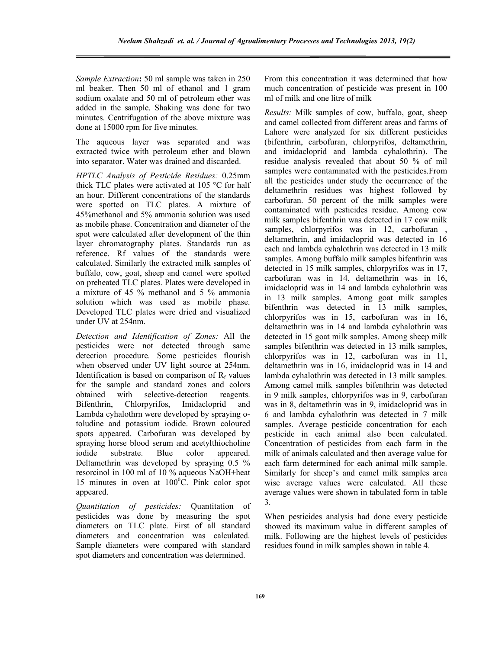*Sample Extraction***:** 50 ml sample was taken in 250 ml beaker. Then 50 ml of ethanol and 1 gram sodium oxalate and 50 ml of petroleum ether was added in the sample. Shaking was done for two minutes. Centrifugation of the above mixture was done at 15000 rpm for five minutes.

The aqueous layer was separated and was extracted twice with petroleum ether and blown into separator. Water was drained and discarded.

*HPTLC Analysis of Pesticide Residues:* 0.25mm thick TLC plates were activated at 105 °C for half an hour. Different concentrations of the standards were spotted on TLC plates. A mixture of 45%methanol and 5% ammonia solution was used as mobile phase. Concentration and diameter of the spot were calculated after development of the thin layer chromatography plates. Standards run as reference. Rf values of the standards were calculated. Similarly the extracted milk samples of buffalo, cow, goat, sheep and camel were spotted on preheated TLC plates. Plates were developed in a mixture of 45 % methanol and 5 % ammonia solution which was used as mobile phase. Developed TLC plates were dried and visualized under UV at 254nm.

*Detection and Identification of Zones:* All the pesticides were not detected through same detection procedure. Some pesticides flourish when observed under UV light source at 254nm. Identification is based on comparison of  $R_f$  values for the sample and standard zones and colors obtained with selective-detection reagents. Bifenthrin, Chlorpyrifos, Imidacloprid and Lambda cyhalothrn were developed by spraying otoludine and potassium iodide. Brown coloured spots appeared. Carbofuran was developed by spraying horse blood serum and acetylthiocholine iodide substrate. Blue color appeared. Deltamethrin was developed by spraying 0.5 % resorcinol in 100 ml of 10 % aqueous NaOH+heat 15 minutes in oven at  $100^{\circ}$ C. Pink color spot appeared.

*Quantitation of pesticides:* Quantitation of pesticides was done by measuring the spot diameters on TLC plate. First of all standard diameters and concentration was calculated. Sample diameters were compared with standard spot diameters and concentration was determined.

From this concentration it was determined that how much concentration of pesticide was present in 100 ml of milk and one litre of milk

*Results:* Milk samples of cow, buffalo, goat, sheep and camel collected from different areas and farms of Lahore were analyzed for six different pesticides (bifenthrin, carbofuran, chlorpyrifos, deltamethrin, and imidacloprid and lambda cyhalothrin). The residue analysis revealed that about 50 % of mil samples were contaminated with the pesticides.From all the pesticides under study the occurrence of the deltamethrin residues was highest followed by carbofuran. 50 percent of the milk samples were contaminated with pesticides residue. Among cow milk samples bifenthrin was detected in 17 cow milk samples, chlorpyrifos was in 12, carbofuran deltamethrin, and imidacloprid was detected in 16 each and lambda cyhalothrin was detected in 13 milk samples. Among buffalo milk samples bifenthrin was detected in 15 milk samples, chlorpyrifos was in 17, carbofuran was in 14, deltamethrin was in 16, imidacloprid was in 14 and lambda cyhalothrin was in 13 milk samples. Among goat milk samples bifenthrin was detected in 13 milk samples, chlorpyrifos was in 15, carbofuran was in 16, deltamethrin was in 14 and lambda cyhalothrin was detected in 15 goat milk samples. Among sheep milk samples bifenthrin was detected in 13 milk samples, chlorpyrifos was in 12, carbofuran was in 11, deltamethrin was in 16, imidacloprid was in 14 and lambda cyhalothrin was detected in 13 milk samples. Among camel milk samples bifenthrin was detected in 9 milk samples, chlorpyrifos was in 9, carbofuran was in 8, deltamethrin was in 9, imidacloprid was in 6 and lambda cyhalothrin was detected in 7 milk samples. Average pesticide concentration for each pesticide in each animal also been calculated. Concentration of pesticides from each farm in the milk of animals calculated and then average value for each farm determined for each animal milk sample. Similarly for sheep's and camel milk samples area wise average values were calculated. All these average values were shown in tabulated form in table 3.

When pesticides analysis had done every pesticide showed its maximum value in different samples of milk. Following are the highest levels of pesticides residues found in milk samples shown in table 4.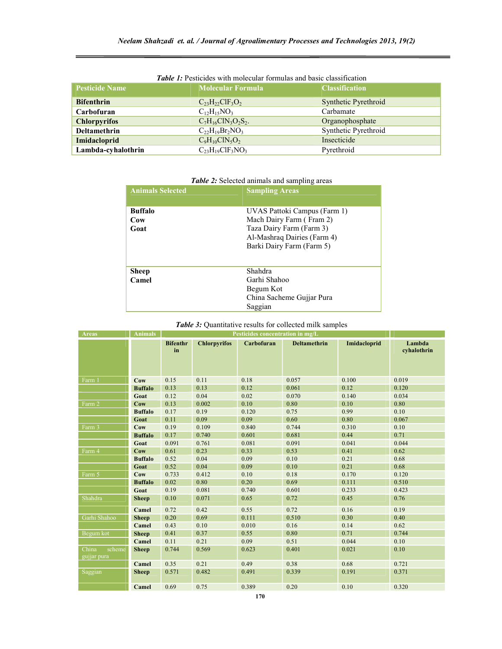| <b>Pesticide Name</b> | <b>Molecular Formula</b> | <b>Classification</b>       |  |  |
|-----------------------|--------------------------|-----------------------------|--|--|
|                       |                          |                             |  |  |
| <b>Bifenthrin</b>     | $C_{23}H_{22}CH_3O_2$    | <b>Synthetic Pyrethroid</b> |  |  |
| Carbofuran            | $C_{12}H_{15}NO_3$       | Carbamate                   |  |  |
| <b>Chlorpyrifos</b>   | $C_7H_{16}CIN_3O_2S_2.$  | Organophosphate             |  |  |
| <b>Deltamethrin</b>   | $C_{22}H_{19}Br_2NO_3$   | Synthetic Pyrethroid        |  |  |
| <b>Imidacloprid</b>   | $C_9H_{10}CIN_5O_2$      | Insecticide                 |  |  |
| Lambda-cyhalothrin    | $C_{23}H_{19}CIF_3NO_3$  | Pyrethroid                  |  |  |

## *Table 1:* Pesticides with molecular formulas and basic classification

# *Table 2:* Selected animals and sampling areas

| <b>Animals Selected</b> | <b>Sampling Areas</b>        |  |  |
|-------------------------|------------------------------|--|--|
|                         |                              |  |  |
| <b>Buffalo</b>          | UVAS Pattoki Campus (Farm 1) |  |  |
| Cow                     | Mach Dairy Farm (Fram 2)     |  |  |
| Goat                    | Taza Dairy Farm (Farm 3)     |  |  |
|                         | Al-Mashraq Dairies (Farm 4)  |  |  |
|                         | Barki Dairy Farm (Farm 5)    |  |  |
|                         |                              |  |  |
| <b>Sheep</b>            | <b>Shahdra</b>               |  |  |
|                         |                              |  |  |
| Camel                   | Garhi Shahoo                 |  |  |
|                         | Begum Kot                    |  |  |
|                         | China Sacheme Gujjar Pura    |  |  |
|                         | Saggian                      |  |  |

# *Table 3:* Quantitative results for collected milk samples

| <b>Areas</b>                   | <b>Animals</b> | Pesticides concentration in mg/L |                     |            |                     |              |                       |
|--------------------------------|----------------|----------------------------------|---------------------|------------|---------------------|--------------|-----------------------|
|                                |                | <b>Bifenthr</b><br>in            | <b>Chlorpyrifos</b> | Carbofuran | <b>Deltamethrin</b> | Imidacloprid | Lambda<br>cyhalothrin |
| Farm 1                         | Cow            | 0.15                             | 0.11                | 0.18       | 0.057               | 0.100        | 0.019                 |
|                                | <b>Buffalo</b> | 0.13                             | 0.13                | 0.12       | 0.061               | 0.12         | 0.120                 |
|                                | Goat           | 0.12                             | 0.04                | 0.02       | 0.070               | 0.140        | 0.034                 |
| Farm 2                         | Cow            | 0.13                             | 0.002               | 0.10       | 0.80                | 0.10         | 0.80                  |
|                                | <b>Buffalo</b> | 0.17                             | 0.19                | 0.120      | 0.75                | 0.99         | 0.10                  |
|                                | Goat           | 0.11                             | 0.09                | 0.09       | 0.60                | 0.80         | 0.067                 |
| Farm 3                         | Cow            | 0.19                             | 0.109               | 0.840      | 0.744               | 0.310        | 0.10                  |
|                                | <b>Buffalo</b> | 0.17                             | 0.740               | 0.601      | 0.681               | 0.44         | 0.71                  |
|                                | Goat           | 0.091                            | 0.761               | 0.081      | 0.091               | 0.041        | 0.044                 |
| Farm 4                         | Cow            | 0.61                             | 0.23                | 0.33       | 0.53                | 0.41         | 0.62                  |
|                                | <b>Buffalo</b> | 0.52                             | 0.04                | 0.09       | 0.10                | 0.21         | 0.68                  |
|                                | Goat           | 0.52                             | 0.04                | 0.09       | 0.10                | 0.21         | 0.68                  |
| Farm 5                         | Cow            | 0.733                            | 0.412               | 0.10       | 0.18                | 0.170        | 0.120                 |
|                                | <b>Buffalo</b> | 0.02                             | 0.80                | 0.20       | 0.69                | 0.111        | 0.510                 |
|                                | Goat           | 0.19                             | 0.081               | 0.740      | 0.601               | 0.233        | 0.423                 |
| Shahdra                        | <b>Sheep</b>   | 0.10                             | 0.071               | 0.65       | 0.72                | 0.45         | 0.76                  |
|                                | Camel          | 0.72                             | 0.42                | 0.55       | 0.72                | 0.16         | 0.19                  |
| Garhi Shahoo                   | <b>Sheep</b>   | 0.20                             | 0.69                | 0.111      | 0.510               | 0.30         | 0.40                  |
|                                | Camel          | 0.43                             | 0.10                | 0.010      | 0.16                | 0.14         | 0.62                  |
| Begum kot                      | <b>Sheep</b>   | 0.41                             | 0.37                | 0.55       | 0.80                | 0.71         | 0.744                 |
|                                | Camel          | 0.11                             | 0.21                | 0.09       | 0.51                | 0.044        | 0.10                  |
| China<br>scheme<br>gujjar pura | <b>Sheep</b>   | 0.744                            | 0.569               | 0.623      | 0.401               | 0.021        | 0.10                  |
|                                | Camel          | 0.35                             | 0.21                | 0.49       | 0.38                | 0.68         | 0.721                 |
| Saggian                        | <b>Sheep</b>   | 0.571                            | 0.482               | 0.491      | 0.339               | 0.191        | 0.371                 |
|                                | Camel          | 0.69                             | 0.75                | 0.389      | 0.20                | 0.10         | 0.320                 |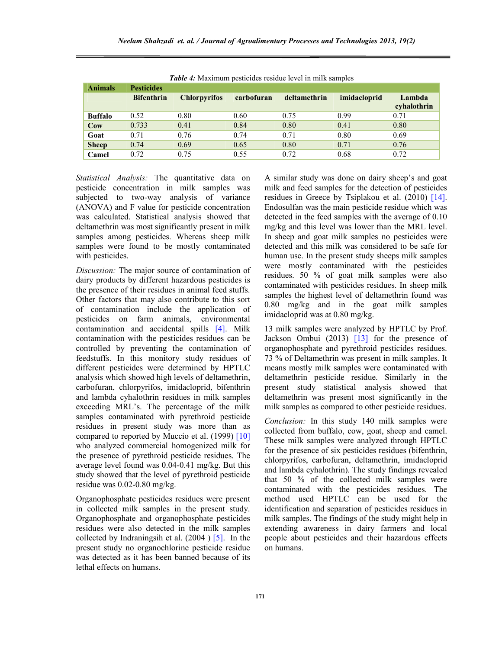| <b>Tuble 4.</b> INTRATHIGHT DUSTICIOUS TUBIQUE TUVUI III IIIIIK SAHIPIUS |                   |                     |            |              |              |                       |  |
|--------------------------------------------------------------------------|-------------------|---------------------|------------|--------------|--------------|-----------------------|--|
| <b>Animals</b>                                                           | <b>Pesticides</b> |                     |            |              |              |                       |  |
|                                                                          | <b>Bifenthrin</b> | <b>Chlorpyrifos</b> | carbofuran | deltamethrin | imidacloprid | Lambda<br>cyhalothrin |  |
| <b>Buffalo</b>                                                           | 0.52              | 0.80                | 0.60       | 0.75         | 0.99         | 0.71                  |  |
| $_{\rm{Cow}}$                                                            | 0.733             | 0.41                | 0.84       | 0.80         | 0.41         | 0.80                  |  |
| Goat                                                                     | 0.71              | 0.76                | 0.74       | 0.71         | 0.80         | 0.69                  |  |
| <b>Sheep</b>                                                             | 0.74              | 0.69                | 0.65       | 0.80         | 0.71         | 0.76                  |  |
| Camel                                                                    | 0.72              | 0.75                | 0.55       | 0.72         | 0.68         | 0.72                  |  |

*Table 4:* Maximum pesticides residue level in milk samples

*Statistical Analysis:* The quantitative data on pesticide concentration in milk samples was subjected to two-way analysis of variance (ANOVA) and F value for pesticide concentration was calculated. Statistical analysis showed that deltamethrin was most significantly present in milk samples among pesticides. Whereas sheep milk samples were found to be mostly contaminated with pesticides.

*Discussion:* The major source of contamination of dairy products by different hazardous pesticides is the presence of their residues in animal feed stuffs. Other factors that may also contribute to this sort of contamination include the application of pesticides on farm animals, environmental contamination and accidental spills [4]. Milk contamination with the pesticides residues can be controlled by preventing the contamination of feedstuffs. In this monitory study residues of different pesticides were determined by HPTLC analysis which showed high levels of deltamethrin, carbofuran, chlorpyrifos, imidacloprid, bifenthrin and lambda cyhalothrin residues in milk samples exceeding MRL's. The percentage of the milk samples contaminated with pyrethroid pesticide residues in present study was more than as compared to reported by Muccio et al. (1999) [10] who analyzed commercial homogenized milk for the presence of pyrethroid pesticide residues. The average level found was 0.04-0.41 mg/kg. But this study showed that the level of pyrethroid pesticide residue was 0.02-0.80 mg/kg.

Organophosphate pesticides residues were present in collected milk samples in the present study. Organophosphate and organophosphate pesticides residues were also detected in the milk samples collected by Indraningsih et al.  $(2004)$  [5]. In the present study no organochlorine pesticide residue was detected as it has been banned because of its lethal effects on humans.

A similar study was done on dairy sheep's and goat milk and feed samples for the detection of pesticides residues in Greece by Tsiplakou et al. (2010) [14]. Endosulfan was the main pesticide residue which was detected in the feed samples with the average of 0.10 mg/kg and this level was lower than the MRL level. In sheep and goat milk samples no pesticides were detected and this milk was considered to be safe for human use. In the present study sheeps milk samples were mostly contaminated with the pesticides residues. 50 % of goat milk samples were also contaminated with pesticides residues. In sheep milk samples the highest level of deltamethrin found was 0.80 mg/kg and in the goat milk samples imidacloprid was at 0.80 mg/kg.

13 milk samples were analyzed by HPTLC by Prof. Jackson Ombui (2013) [13] for the presence of organophosphate and pyrethroid pesticides residues. 73 % of Deltamethrin was present in milk samples. It means mostly milk samples were contaminated with deltamethrin pesticide residue. Similarly in the present study statistical analysis showed that deltamethrin was present most significantly in the milk samples as compared to other pesticide residues.

*Conclusion:* In this study 140 milk samples were collected from buffalo, cow, goat, sheep and camel. These milk samples were analyzed through HPTLC for the presence of six pesticides residues (bifenthrin, chlorpyrifos, carbofuran, deltamethrin, imidacloprid and lambda cyhalothrin). The study findings revealed that 50 % of the collected milk samples were contaminated with the pesticides residues. The method used HPTLC can be used for the identification and separation of pesticides residues in milk samples. The findings of the study might help in extending awareness in dairy farmers and local people about pesticides and their hazardous effects on humans.